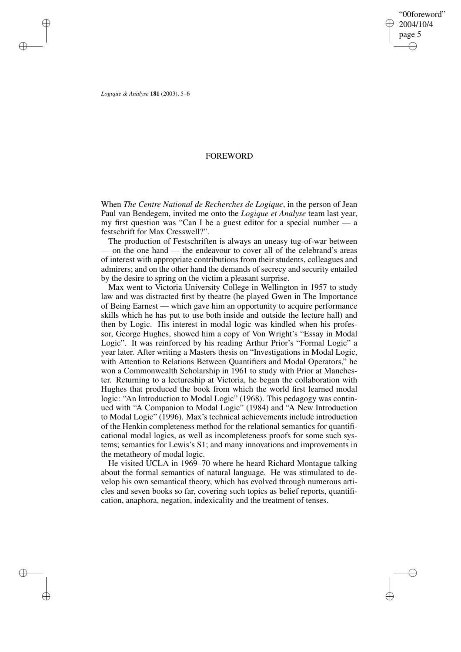✐

✐

*Logique & Analyse* **181** (2003), 5–6

✐

✐

✐

✐

## FOREWORD

When *The Centre National de Recherches de Logique*, in the person of Jean Paul van Bendegem, invited me onto the *Logique et Analyse* team last year, my first question was "Can I be a guest editor for a special number — a festschrift for Max Cresswell?".

The production of Festschriften is always an uneasy tug-of-war between — on the one hand — the endeavour to cover all of the celebrand's areas of interest with appropriate contributions from their students, colleagues and admirers; and on the other hand the demands of secrecy and security entailed by the desire to spring on the victim a pleasant surprise.

Max went to Victoria University College in Wellington in 1957 to study law and was distracted first by theatre (he played Gwen in The Importance of Being Earnest — which gave him an opportunity to acquire performance skills which he has put to use both inside and outside the lecture hall) and then by Logic. His interest in modal logic was kindled when his professor, George Hughes, showed him a copy of Von Wright's "Essay in Modal Logic". It was reinforced by his reading Arthur Prior's "Formal Logic" a year later. After writing a Masters thesis on "Investigations in Modal Logic, with Attention to Relations Between Quantifiers and Modal Operators," he won a Commonwealth Scholarship in 1961 to study with Prior at Manchester. Returning to a lectureship at Victoria, he began the collaboration with Hughes that produced the book from which the world first learned modal logic: "An Introduction to Modal Logic" (1968). This pedagogy was continued with "A Companion to Modal Logic" (1984) and "A New Introduction to Modal Logic" (1996). Max's technical achievements include introduction of the Henkin completeness method for the relational semantics for quantificational modal logics, as well as incompleteness proofs for some such systems; semantics for Lewis's S1; and many innovations and improvements in the metatheory of modal logic.

He visited UCLA in 1969–70 where he heard Richard Montague talking about the formal semantics of natural language. He was stimulated to develop his own semantical theory, which has evolved through numerous articles and seven books so far, covering such topics as belief reports, quantification, anaphora, negation, indexicality and the treatment of tenses.